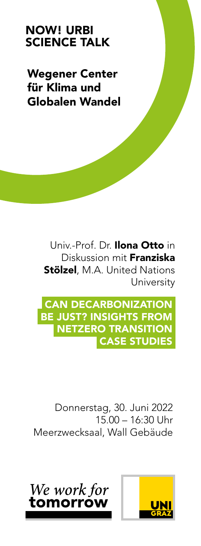## NOW! URBI SCIENCE TALK

Wegener Center für Klima und Globalen Wandel

> Univ-Prof. Dr. Ilona Otto in Diskussion mit Franziska **Stölzel**, M.A. United Nations **University**

 CAN DECARBONIZATION BE JUST? INSIGHTS FROM NETZERO TRANSITION CASE STUDIES

 Donnerstag, 30. Juni 2022  $15.00 - 16:30$  Uhr Meerzwecksaal, Wall Gebäude